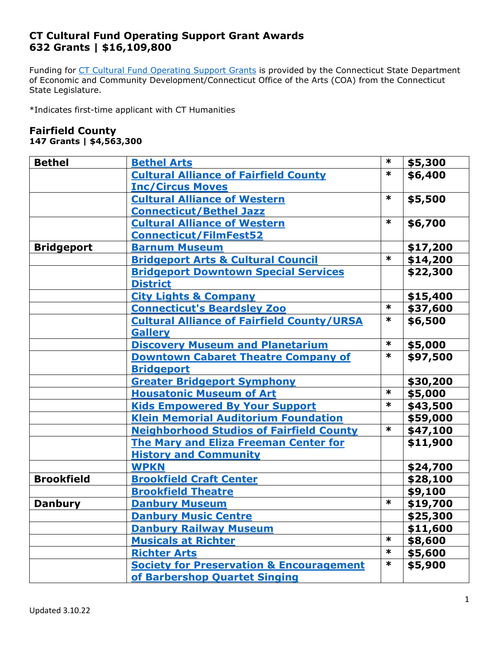### **CT Cultural Fund Operating Support Grant Awards 632 Grants | \$16,109,800**

Funding for [CT Cultural Fund Operating Support Grants](https://cthumanities.org/ct-cultural-fund-operating-support-grants/) is provided by the Connecticut State Department of Economic and Community Development/Connecticut Office of the Arts (COA) from the Connecticut State Legislature.

\*Indicates first-time applicant with CT Humanities

#### **Fairfield County 147 Grants | \$4,563,300**

| <b>Bethel</b>     | <b>Bethel Arts</b>                                  | $\ast$ | \$5,300  |
|-------------------|-----------------------------------------------------|--------|----------|
|                   | <b>Cultural Alliance of Fairfield County</b>        | $\ast$ | \$6,400  |
|                   | <b>Inc/Circus Moves</b>                             |        |          |
|                   | <b>Cultural Alliance of Western</b>                 | $\ast$ | \$5,500  |
|                   | <b>Connecticut/Bethel Jazz</b>                      |        |          |
|                   | <b>Cultural Alliance of Western</b>                 | ∗      | \$6,700  |
|                   | <b>Connecticut/FilmFest52</b>                       |        |          |
| <b>Bridgeport</b> | <b>Barnum Museum</b>                                |        | \$17,200 |
|                   | <b>Bridgeport Arts &amp; Cultural Council</b>       | $\ast$ | \$14,200 |
|                   | <b>Bridgeport Downtown Special Services</b>         |        | \$22,300 |
|                   | <b>District</b>                                     |        |          |
|                   | <b>City Lights &amp; Company</b>                    |        | \$15,400 |
|                   | <b>Connecticut's Beardsley Zoo</b>                  | $\ast$ | \$37,600 |
|                   | <b>Cultural Alliance of Fairfield County/URSA</b>   | *      | \$6,500  |
|                   | <b>Gallery</b>                                      |        |          |
|                   | <b>Discovery Museum and Planetarium</b>             | $\ast$ | \$5,000  |
|                   | <b>Downtown Cabaret Theatre Company of</b>          | $\ast$ | \$97,500 |
|                   | <b>Bridgeport</b>                                   |        |          |
|                   | <b>Greater Bridgeport Symphony</b>                  |        | \$30,200 |
|                   | <b>Housatonic Museum of Art</b>                     | $\ast$ | \$5,000  |
|                   | <b>Kids Empowered By Your Support</b>               | $\ast$ | \$43,500 |
|                   | <b>Klein Memorial Auditorium Foundation</b>         |        | \$59,000 |
|                   | <b>Neighborhood Studios of Fairfield County</b>     | $\ast$ | \$47,100 |
|                   | <b>The Mary and Eliza Freeman Center for</b>        |        | \$11,900 |
|                   | <b>History and Community</b>                        |        |          |
|                   | <b>WPKN</b>                                         |        | \$24,700 |
| <b>Brookfield</b> | <b>Brookfield Craft Center</b>                      |        | \$28,100 |
|                   | <b>Brookfield Theatre</b>                           |        | \$9,100  |
| <b>Danbury</b>    | <b>Danbury Museum</b>                               | $\ast$ | \$19,700 |
|                   | <b>Danbury Music Centre</b>                         |        | \$25,300 |
|                   | <b>Danbury Railway Museum</b>                       |        | \$11,600 |
|                   | <b>Musicals at Richter</b>                          | $\ast$ | \$8,600  |
|                   | <b>Richter Arts</b>                                 | $\ast$ | \$5,600  |
|                   | <b>Society for Preservation &amp; Encouragement</b> | $\ast$ | \$5,900  |
|                   | of Barbershop Quartet Singing                       |        |          |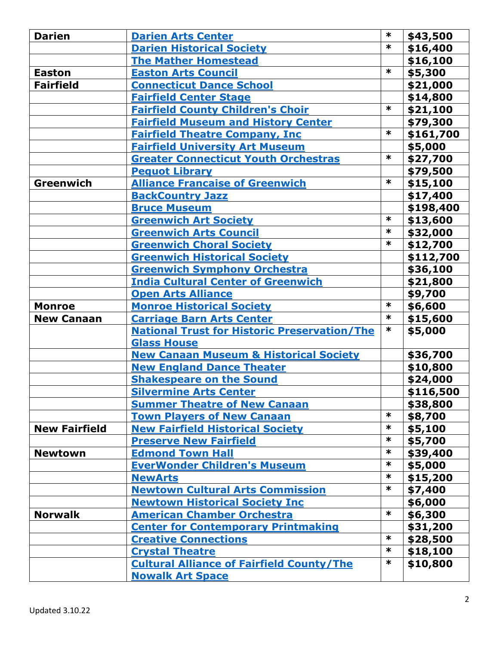| <b>Darien</b>        | <b>Darien Arts Center</b>                           | $\ast$ | \$43,500  |
|----------------------|-----------------------------------------------------|--------|-----------|
|                      | <b>Darien Historical Society</b>                    | $\ast$ | \$16,400  |
|                      | <b>The Mather Homestead</b>                         |        | \$16,100  |
| <b>Easton</b>        | <b>Easton Arts Council</b>                          | $\ast$ | \$5,300   |
| <b>Fairfield</b>     | <b>Connecticut Dance School</b>                     |        | \$21,000  |
|                      | <b>Fairfield Center Stage</b>                       |        | \$14,800  |
|                      | <b>Fairfield County Children's Choir</b>            | $\ast$ | \$21,100  |
|                      | <b>Fairfield Museum and History Center</b>          |        | \$79,300  |
|                      | <b>Fairfield Theatre Company, Inc</b>               | $\ast$ | \$161,700 |
|                      | <b>Fairfield University Art Museum</b>              |        | \$5,000   |
|                      | <b>Greater Connecticut Youth Orchestras</b>         | $\ast$ | \$27,700  |
|                      | <b>Pequot Library</b>                               |        | \$79,500  |
| Greenwich            | <b>Alliance Francaise of Greenwich</b>              | $\ast$ | \$15,100  |
|                      | <b>BackCountry Jazz</b>                             |        | \$17,400  |
|                      | <b>Bruce Museum</b>                                 |        | \$198,400 |
|                      | <b>Greenwich Art Society</b>                        | $\ast$ | \$13,600  |
|                      | <b>Greenwich Arts Council</b>                       | $\ast$ | \$32,000  |
|                      | <b>Greenwich Choral Society</b>                     | $\ast$ | \$12,700  |
|                      | <b>Greenwich Historical Society</b>                 |        | \$112,700 |
|                      | <b>Greenwich Symphony Orchestra</b>                 |        | \$36,100  |
|                      | <b>India Cultural Center of Greenwich</b>           |        | \$21,800  |
|                      | <b>Open Arts Alliance</b>                           |        | \$9,700   |
| <b>Monroe</b>        | <b>Monroe Historical Society</b>                    | $\ast$ | \$6,600   |
| <b>New Canaan</b>    | <b>Carriage Barn Arts Center</b>                    | $\ast$ | \$15,600  |
|                      | <b>National Trust for Historic Preservation/The</b> | $\ast$ | \$5,000   |
|                      | <b>Glass House</b>                                  |        |           |
|                      | <b>New Canaan Museum &amp; Historical Society</b>   |        | \$36,700  |
|                      | <b>New England Dance Theater</b>                    |        | \$10,800  |
|                      | <b>Shakespeare on the Sound</b>                     |        | \$24,000  |
|                      | <b>Silvermine Arts Center</b>                       |        | \$116,500 |
|                      | <b>Summer Theatre of New Canaan</b>                 |        | \$38,800  |
|                      | <b>Town Players of New Canaan</b>                   | $\ast$ | \$8,700   |
| <b>New Fairfield</b> | <b>New Fairfield Historical Society</b>             | $\ast$ | \$5,100   |
|                      | <b>Preserve New Fairfield</b>                       | $\ast$ | \$5,700   |
| <b>Newtown</b>       | <b>Edmond Town Hall</b>                             | $\ast$ | \$39,400  |
|                      | <b>EverWonder Children's Museum</b>                 | $\ast$ | \$5,000   |
|                      | <b>NewArts</b>                                      | $\ast$ | \$15,200  |
|                      | <b>Newtown Cultural Arts Commission</b>             | *      | \$7,400   |
|                      | <b>Newtown Historical Society Inc</b>               |        | \$6,000   |
| <b>Norwalk</b>       | <b>American Chamber Orchestra</b>                   | $\ast$ | \$6,300   |
|                      | <b>Center for Contemporary Printmaking</b>          |        | \$31,200  |
|                      | <b>Creative Connections</b>                         | $\ast$ | \$28,500  |
|                      | <b>Crystal Theatre</b>                              | $\ast$ | \$18,100  |
|                      | <b>Cultural Alliance of Fairfield County/The</b>    | $\ast$ | \$10,800  |
|                      | <b>Nowalk Art Space</b>                             |        |           |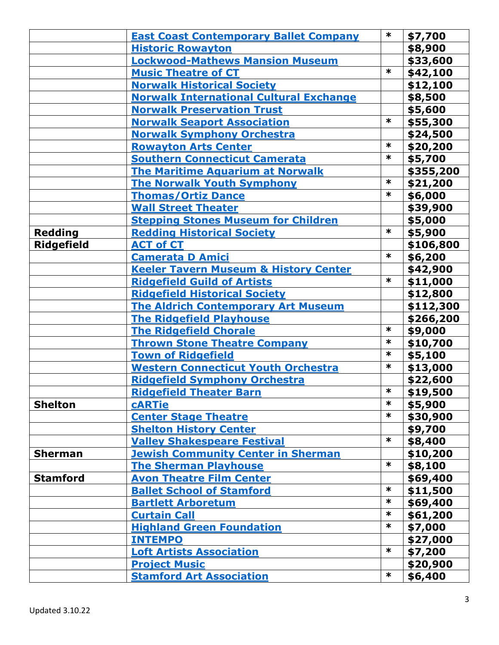|                   | <b>East Coast Contemporary Ballet Company</b>    | $\ast$ | \$7,700   |
|-------------------|--------------------------------------------------|--------|-----------|
|                   | <b>Historic Rowayton</b>                         |        | \$8,900   |
|                   | <b>Lockwood-Mathews Mansion Museum</b>           |        | \$33,600  |
|                   | <b>Music Theatre of CT</b>                       | $\ast$ | \$42,100  |
|                   | <b>Norwalk Historical Society</b>                |        | \$12,100  |
|                   | <b>Norwalk International Cultural Exchange</b>   |        | \$8,500   |
|                   | <b>Norwalk Preservation Trust</b>                |        | \$5,600   |
|                   | <b>Norwalk Seaport Association</b>               | $\ast$ | \$55,300  |
|                   | <b>Norwalk Symphony Orchestra</b>                |        | \$24,500  |
|                   | <b>Rowayton Arts Center</b>                      | $\ast$ | \$20,200  |
|                   | <b>Southern Connecticut Camerata</b>             | $\ast$ | \$5,700   |
|                   | <b>The Maritime Aquarium at Norwalk</b>          |        | \$355,200 |
|                   | <b>The Norwalk Youth Symphony</b>                | $\ast$ | \$21,200  |
|                   | <b>Thomas/Ortiz Dance</b>                        | $\ast$ | \$6,000   |
|                   | <b>Wall Street Theater</b>                       |        | \$39,900  |
|                   | <b>Stepping Stones Museum for Children</b>       |        | \$5,000   |
| <b>Redding</b>    | <b>Redding Historical Society</b>                | $\ast$ | \$5,900   |
| <b>Ridgefield</b> | <b>ACT of CT</b>                                 |        | \$106,800 |
|                   | <b>Camerata D Amici</b>                          | $\ast$ | \$6,200   |
|                   | <b>Keeler Tavern Museum &amp; History Center</b> |        | \$42,900  |
|                   | <b>Ridgefield Guild of Artists</b>               | $\ast$ | \$11,000  |
|                   | <b>Ridgefield Historical Society</b>             |        | \$12,800  |
|                   | <b>The Aldrich Contemporary Art Museum</b>       |        | \$112,300 |
|                   | <b>The Ridgefield Playhouse</b>                  |        | \$266,200 |
|                   | <b>The Ridgefield Chorale</b>                    | $\ast$ | \$9,000   |
|                   | <b>Thrown Stone Theatre Company</b>              | $\ast$ | \$10,700  |
|                   | <b>Town of Ridgefield</b>                        | $\ast$ | \$5,100   |
|                   | <b>Western Connecticut Youth Orchestra</b>       | $\ast$ | \$13,000  |
|                   | <b>Ridgefield Symphony Orchestra</b>             |        | \$22,600  |
|                   | <b>Ridgefield Theater Barn</b>                   | $\ast$ | \$19,500  |
| <b>Shelton</b>    | <b>cARTie</b>                                    | $\ast$ | \$5,900   |
|                   | <b>Center Stage Theatre</b>                      | $\ast$ | \$30,900  |
|                   | <b>Shelton History Center</b>                    |        | \$9,700   |
|                   | <b>Valley Shakespeare Festival</b>               | $\ast$ | \$8,400   |
| <b>Sherman</b>    | <b>Jewish Community Center in Sherman</b>        |        | \$10,200  |
|                   | <b>The Sherman Playhouse</b>                     | $\ast$ | \$8,100   |
| <b>Stamford</b>   | <b>Avon Theatre Film Center</b>                  |        | \$69,400  |
|                   | <b>Ballet School of Stamford</b>                 | $\ast$ | \$11,500  |
|                   | <b>Bartlett Arboretum</b>                        | $\ast$ | \$69,400  |
|                   | <b>Curtain Call</b>                              | $\ast$ | \$61,200  |
|                   | <b>Highland Green Foundation</b>                 | $\ast$ | \$7,000   |
|                   | <b>INTEMPO</b>                                   |        | \$27,000  |
|                   | <b>Loft Artists Association</b>                  | $\ast$ | \$7,200   |
|                   | <b>Project Music</b>                             |        | \$20,900  |
|                   | <b>Stamford Art Association</b>                  | $\ast$ | \$6,400   |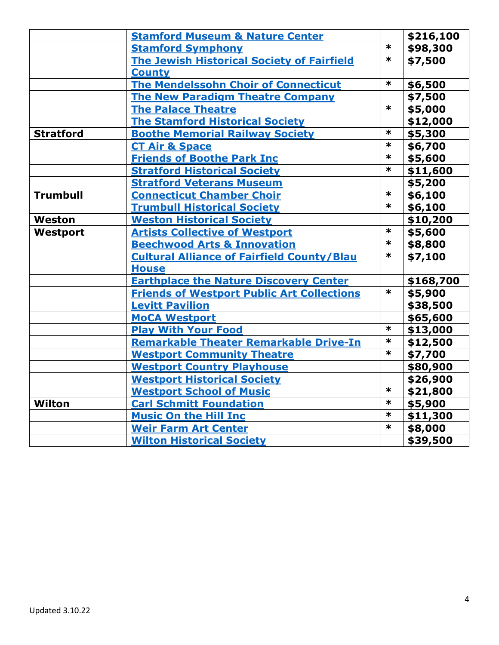|                  | <b>Stamford Museum &amp; Nature Center</b>        |        | \$216,100 |
|------------------|---------------------------------------------------|--------|-----------|
|                  | <b>Stamford Symphony</b>                          | $\ast$ | \$98,300  |
|                  | <b>The Jewish Historical Society of Fairfield</b> | $\ast$ | \$7,500   |
|                  | <b>County</b>                                     |        |           |
|                  | <b>The Mendelssohn Choir of Connecticut</b>       | $\ast$ | \$6,500   |
|                  | <b>The New Paradigm Theatre Company</b>           |        | \$7,500   |
|                  | <b>The Palace Theatre</b>                         | $\ast$ | \$5,000   |
|                  | <b>The Stamford Historical Society</b>            |        | \$12,000  |
| <b>Stratford</b> | <b>Boothe Memorial Railway Society</b>            | $\ast$ | \$5,300   |
|                  | <b>CT Air &amp; Space</b>                         | $\ast$ | \$6,700   |
|                  | <b>Friends of Boothe Park Inc</b>                 | $\ast$ | \$5,600   |
|                  | <b>Stratford Historical Society</b>               | $\ast$ | \$11,600  |
|                  | <b>Stratford Veterans Museum</b>                  |        | \$5,200   |
| <b>Trumbull</b>  | <b>Connecticut Chamber Choir</b>                  | $\ast$ | \$6,100   |
|                  | <b>Trumbull Historical Society</b>                | $\ast$ | \$6,100   |
| <b>Weston</b>    | <b>Weston Historical Society</b>                  |        | \$10,200  |
| Westport         | <b>Artists Collective of Westport</b>             | $\ast$ | \$5,600   |
|                  | <b>Beechwood Arts &amp; Innovation</b>            | $\ast$ | \$8,800   |
|                  | <b>Cultural Alliance of Fairfield County/Blau</b> | $\ast$ | \$7,100   |
|                  | <b>House</b>                                      |        |           |
|                  | <b>Earthplace the Nature Discovery Center</b>     |        | \$168,700 |
|                  | <b>Friends of Westport Public Art Collections</b> | $\ast$ | \$5,900   |
|                  | <b>Levitt Pavilion</b>                            |        | \$38,500  |
|                  | <b>MoCA Westport</b>                              |        | \$65,600  |
|                  | <b>Play With Your Food</b>                        | $\ast$ | \$13,000  |
|                  | Remarkable Theater Remarkable Drive-In            | $\ast$ | \$12,500  |
|                  | <b>Westport Community Theatre</b>                 | $\ast$ | \$7,700   |
|                  | <b>Westport Country Playhouse</b>                 |        | \$80,900  |
|                  | <b>Westport Historical Society</b>                |        | \$26,900  |
|                  | <b>Westport School of Music</b>                   | $\ast$ | \$21,800  |
| Wilton           | <b>Carl Schmitt Foundation</b>                    | $\ast$ | \$5,900   |
|                  | <b>Music On the Hill Inc.</b>                     | $\ast$ | \$11,300  |
|                  | <b>Weir Farm Art Center</b>                       | $\ast$ | \$8,000   |
|                  | <b>Wilton Historical Society</b>                  |        | \$39,500  |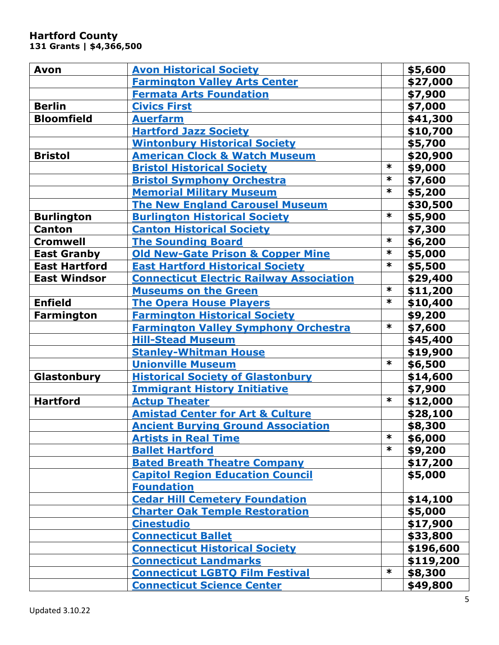#### **Hartford County 131 Grants | \$4,366,500**

| <b>Avon</b>          | <b>Avon Historical Society</b>                  |        | \$5,600   |
|----------------------|-------------------------------------------------|--------|-----------|
|                      | <b>Farmington Valley Arts Center</b>            |        | \$27,000  |
|                      | <b>Fermata Arts Foundation</b>                  |        | \$7,900   |
| <b>Berlin</b>        | <b>Civics First</b>                             |        | \$7,000   |
| <b>Bloomfield</b>    | <b>Auerfarm</b>                                 |        | \$41,300  |
|                      | <b>Hartford Jazz Society</b>                    |        | \$10,700  |
|                      | <b>Wintonbury Historical Society</b>            |        | \$5,700   |
| <b>Bristol</b>       | <b>American Clock &amp; Watch Museum</b>        |        | \$20,900  |
|                      | <b>Bristol Historical Society</b>               | $\ast$ | \$9,000   |
|                      | <b>Bristol Symphony Orchestra</b>               | $\ast$ | \$7,600   |
|                      | <b>Memorial Military Museum</b>                 | $\ast$ | \$5,200   |
|                      | <b>The New England Carousel Museum</b>          |        | \$30,500  |
| <b>Burlington</b>    | <b>Burlington Historical Society</b>            | $\ast$ | \$5,900   |
| <b>Canton</b>        | <b>Canton Historical Society</b>                |        | \$7,300   |
| <b>Cromwell</b>      | <b>The Sounding Board</b>                       | $\ast$ | \$6,200   |
| <b>East Granby</b>   | <b>Old New-Gate Prison &amp; Copper Mine</b>    | ∗      | \$5,000   |
| <b>East Hartford</b> | <b>East Hartford Historical Society</b>         | *      | \$5,500   |
| <b>East Windsor</b>  | <b>Connecticut Electric Railway Association</b> |        | \$29,400  |
|                      | <b>Museums on the Green</b>                     | $\ast$ | \$11,200  |
| <b>Enfield</b>       | <b>The Opera House Players</b>                  | *      | \$10,400  |
| <b>Farmington</b>    | <b>Farmington Historical Society</b>            |        | \$9,200   |
|                      | <b>Farmington Valley Symphony Orchestra</b>     | $\ast$ | \$7,600   |
|                      | <b>Hill-Stead Museum</b>                        |        | \$45,400  |
|                      | <b>Stanley-Whitman House</b>                    |        | \$19,900  |
|                      | <b>Unionville Museum</b>                        | *      | \$6,500   |
| Glastonbury          | <b>Historical Society of Glastonbury</b>        |        | \$14,600  |
|                      | <b>Immigrant History Initiative</b>             |        | \$7,900   |
| <b>Hartford</b>      | <b>Actup Theater</b>                            | $\ast$ | \$12,000  |
|                      | <b>Amistad Center for Art &amp; Culture</b>     |        | \$28,100  |
|                      | <b>Ancient Burying Ground Association</b>       |        | \$8,300   |
|                      | <b>Artists in Real Time</b>                     | *      | \$6,000   |
|                      | <b>Ballet Hartford</b>                          | $\ast$ | \$9,200   |
|                      | <b>Bated Breath Theatre Company</b>             |        | \$17,200  |
|                      | <b>Capitol Region Education Council</b>         |        | \$5,000   |
|                      | <b>Foundation</b>                               |        |           |
|                      | <b>Cedar Hill Cemetery Foundation</b>           |        | \$14,100  |
|                      | <b>Charter Oak Temple Restoration</b>           |        | \$5,000   |
|                      | <b>Cinestudio</b>                               |        | \$17,900  |
|                      | <b>Connecticut Ballet</b>                       |        | \$33,800  |
|                      | <b>Connecticut Historical Society</b>           |        | \$196,600 |
|                      | <b>Connecticut Landmarks</b>                    |        | \$119,200 |
|                      | <b>Connecticut LGBTQ Film Festival</b>          | $\ast$ | \$8,300   |
|                      | <b>Connecticut Science Center</b>               |        | \$49,800  |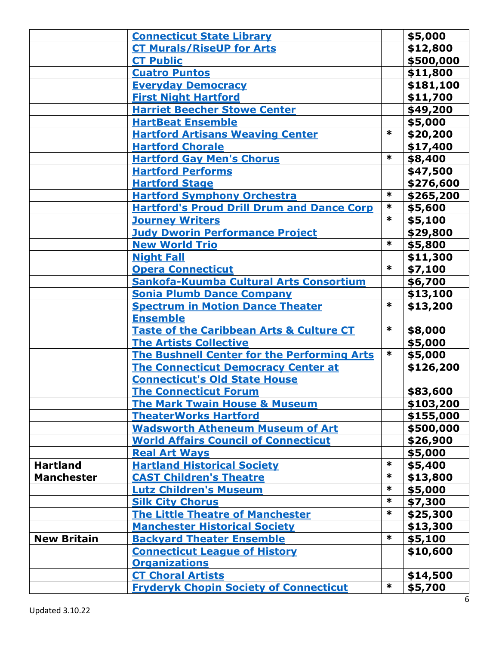|                    | <b>Connecticut State Library</b>                    |        | \$5,000   |
|--------------------|-----------------------------------------------------|--------|-----------|
|                    | <b>CT Murals/RiseUP for Arts</b>                    |        | \$12,800  |
|                    | <b>CT Public</b>                                    |        | \$500,000 |
|                    | <b>Cuatro Puntos</b>                                |        | \$11,800  |
|                    | <b>Everyday Democracy</b>                           |        | \$181,100 |
|                    | <b>First Night Hartford</b>                         |        | \$11,700  |
|                    | <b>Harriet Beecher Stowe Center</b>                 |        | \$49,200  |
|                    | <b>HartBeat Ensemble</b>                            |        | \$5,000   |
|                    | <b>Hartford Artisans Weaving Center</b>             | $\ast$ | \$20,200  |
|                    | <b>Hartford Chorale</b>                             |        | \$17,400  |
|                    | <b>Hartford Gay Men's Chorus</b>                    | $\ast$ | \$8,400   |
|                    | <b>Hartford Performs</b>                            |        | \$47,500  |
|                    | <b>Hartford Stage</b>                               |        | \$276,600 |
|                    | <b>Hartford Symphony Orchestra</b>                  | $\ast$ | \$265,200 |
|                    | <b>Hartford's Proud Drill Drum and Dance Corp</b>   | $\ast$ | \$5,600   |
|                    | <b>Journey Writers</b>                              | $\ast$ | \$5,100   |
|                    | <b>Judy Dworin Performance Project</b>              |        | \$29,800  |
|                    | <b>New World Trio</b>                               | $\ast$ | \$5,800   |
|                    | <b>Night Fall</b>                                   |        | \$11,300  |
|                    | <b>Opera Connecticut</b>                            | $\ast$ | \$7,100   |
|                    | Sankofa-Kuumba Cultural Arts Consortium             |        | \$6,700   |
|                    | <b>Sonia Plumb Dance Company</b>                    |        | \$13,100  |
|                    | <b>Spectrum in Motion Dance Theater</b>             | *      | \$13,200  |
|                    | <b>Ensemble</b>                                     |        |           |
|                    | <b>Taste of the Caribbean Arts &amp; Culture CT</b> | $\ast$ | \$8,000   |
|                    | <b>The Artists Collective</b>                       |        | \$5,000   |
|                    | <b>The Bushnell Center for the Performing Arts</b>  | $\ast$ | \$5,000   |
|                    | <b>The Connecticut Democracy Center at</b>          |        | \$126,200 |
|                    | <b>Connecticut's Old State House</b>                |        |           |
|                    | <b>The Connecticut Forum</b>                        |        | \$83,600  |
|                    | <b>The Mark Twain House &amp; Museum</b>            |        | \$103,200 |
|                    | <b>TheaterWorks Hartford</b>                        |        | \$155,000 |
|                    | <b>Wadsworth Atheneum Museum of Art</b>             |        | \$500,000 |
|                    | <b>World Affairs Council of Connecticut</b>         |        | \$26,900  |
|                    | <b>Real Art Ways</b>                                |        | \$5,000   |
| <b>Hartland</b>    | <b>Hartland Historical Society</b>                  | *      | \$5,400   |
| <b>Manchester</b>  | <b>CAST Children's Theatre</b>                      | $\ast$ | \$13,800  |
|                    | <b>Lutz Children's Museum</b>                       | *      | \$5,000   |
|                    | <b>Silk City Chorus</b>                             | $\ast$ | \$7,300   |
|                    | <b>The Little Theatre of Manchester</b>             | $\ast$ | \$25,300  |
|                    | <b>Manchester Historical Society</b>                |        | \$13,300  |
| <b>New Britain</b> | <b>Backyard Theater Ensemble</b>                    | $\ast$ | \$5,100   |
|                    | <b>Connecticut League of History</b>                |        | \$10,600  |
|                    | <b>Organizations</b>                                |        |           |
|                    | <b>CT Choral Artists</b>                            |        | \$14,500  |
|                    | <b>Fryderyk Chopin Society of Connecticut</b>       | ∗      | \$5,700   |
|                    |                                                     |        |           |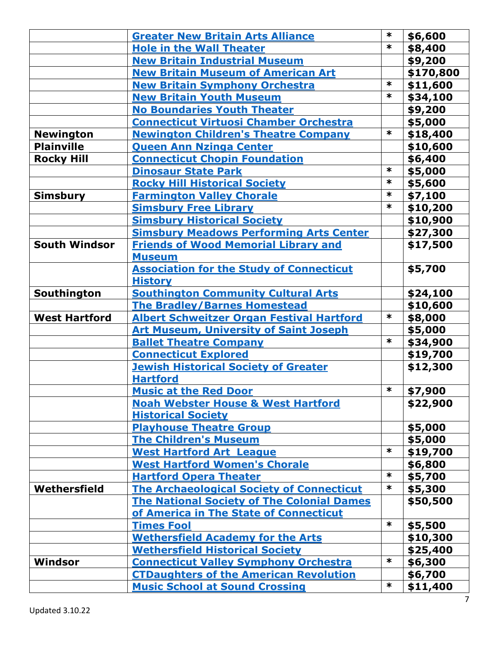|                      |                                                   | $\ast$ |           |
|----------------------|---------------------------------------------------|--------|-----------|
|                      | <b>Greater New Britain Arts Alliance</b>          | $\ast$ | \$6,600   |
|                      | <b>Hole in the Wall Theater</b>                   |        | \$8,400   |
|                      | <b>New Britain Industrial Museum</b>              |        | \$9,200   |
|                      | <b>New Britain Museum of American Art</b>         |        | \$170,800 |
|                      | <b>New Britain Symphony Orchestra</b>             | $\ast$ | \$11,600  |
|                      | <b>New Britain Youth Museum</b>                   | *      | \$34,100  |
|                      | <b>No Boundaries Youth Theater</b>                |        | \$9,200   |
|                      | <b>Connecticut Virtuosi Chamber Orchestra</b>     |        | \$5,000   |
| <b>Newington</b>     | <b>Newington Children's Theatre Company</b>       | *      | \$18,400  |
| <b>Plainville</b>    | <b>Queen Ann Nzinga Center</b>                    |        | \$10,600  |
| <b>Rocky Hill</b>    | <b>Connecticut Chopin Foundation</b>              |        | \$6,400   |
|                      | <b>Dinosaur State Park</b>                        | *      | \$5,000   |
|                      | <b>Rocky Hill Historical Society</b>              | *      | \$5,600   |
| <b>Simsbury</b>      | <b>Farmington Valley Chorale</b>                  | *      | \$7,100   |
|                      | <b>Simsbury Free Library</b>                      | $\ast$ | \$10,200  |
|                      | <b>Simsbury Historical Society</b>                |        | \$10,900  |
|                      | <b>Simsbury Meadows Performing Arts Center</b>    |        | \$27,300  |
| <b>South Windsor</b> | <b>Friends of Wood Memorial Library and</b>       |        | \$17,500  |
|                      | <b>Museum</b>                                     |        |           |
|                      | <b>Association for the Study of Connecticut</b>   |        | \$5,700   |
|                      | <b>History</b>                                    |        |           |
| Southington          | <b>Southington Community Cultural Arts</b>        |        | \$24,100  |
|                      | <b>The Bradley/Barnes Homestead</b>               |        | \$10,600  |
| <b>West Hartford</b> | <b>Albert Schweitzer Organ Festival Hartford</b>  | *      | \$8,000   |
|                      | <b>Art Museum, University of Saint Joseph</b>     |        | \$5,000   |
|                      | <b>Ballet Theatre Company</b>                     | $\ast$ | \$34,900  |
|                      | <b>Connecticut Explored</b>                       |        | \$19,700  |
|                      | <b>Jewish Historical Society of Greater</b>       |        | \$12,300  |
|                      | <b>Hartford</b>                                   |        |           |
|                      | <b>Music at the Red Door</b>                      | $\ast$ | \$7,900   |
|                      | <b>Noah Webster House &amp; West Hartford</b>     |        | \$22,900  |
|                      | <b>Historical Society</b>                         |        |           |
|                      | <b>Playhouse Theatre Group</b>                    |        | \$5,000   |
|                      | <b>The Children's Museum</b>                      |        | \$5,000   |
|                      | <b>West Hartford Art League</b>                   | $\ast$ | \$19,700  |
|                      | <b>West Hartford Women's Chorale</b>              |        | \$6,800   |
|                      | <b>Hartford Opera Theater</b>                     | $\ast$ | \$5,700   |
| Wethersfield         | <b>The Archaeological Society of Connecticut</b>  | $\ast$ | \$5,300   |
|                      | <b>The National Society of The Colonial Dames</b> |        | \$50,500  |
|                      | of America in The State of Connecticut            |        |           |
|                      |                                                   | $\ast$ |           |
|                      | <b>Times Fool</b>                                 |        | \$5,500   |
|                      | <b>Wethersfield Academy for the Arts</b>          |        | \$10,300  |
|                      | <b>Wethersfield Historical Society</b>            |        | \$25,400  |
| Windsor              | <b>Connecticut Valley Symphony Orchestra</b>      | $\ast$ | \$6,300   |
|                      | <b>CTDaughters of the American Revolution</b>     |        | \$6,700   |
|                      | <b>Music School at Sound Crossing</b>             | *      | \$11,400  |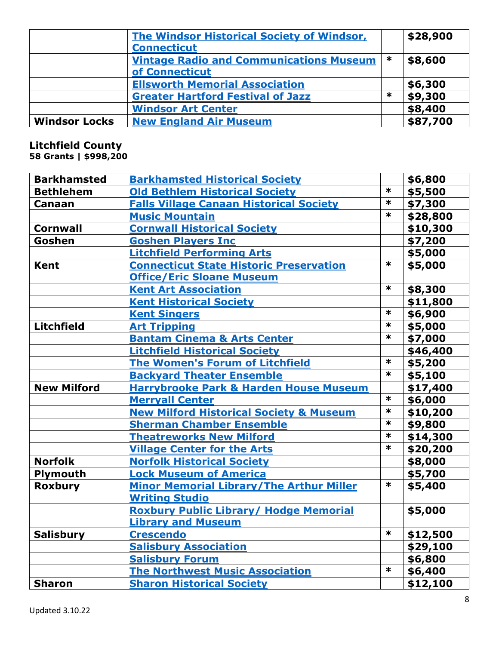|                      | <b>The Windsor Historical Society of Windsor,</b><br><b>Connecticut</b> |        | \$28,900 |
|----------------------|-------------------------------------------------------------------------|--------|----------|
|                      | <b>Vintage Radio and Communications Museum</b><br>of Connecticut        | ∗      | \$8,600  |
|                      | <b>Ellsworth Memorial Association</b>                                   |        | \$6,300  |
|                      | <b>Greater Hartford Festival of Jazz</b>                                | $\ast$ | \$9,300  |
|                      | <b>Windsor Art Center</b>                                               |        | \$8,400  |
| <b>Windsor Locks</b> | <b>New England Air Museum</b>                                           |        | \$87,700 |

### **Litchfield County 58 Grants | \$998,200**

| <b>Barkhamsted</b> | <b>Barkhamsted Historical Society</b>              |        | \$6,800  |
|--------------------|----------------------------------------------------|--------|----------|
| <b>Bethlehem</b>   | <b>Old Bethlem Historical Society</b>              | $\ast$ | \$5,500  |
| Canaan             | <b>Falls Village Canaan Historical Society</b>     | $\ast$ | \$7,300  |
|                    | <b>Music Mountain</b>                              | $\ast$ | \$28,800 |
| <b>Cornwall</b>    | <b>Cornwall Historical Society</b>                 |        | \$10,300 |
| Goshen             | <b>Goshen Players Inc</b>                          |        | \$7,200  |
|                    | <b>Litchfield Performing Arts</b>                  |        | \$5,000  |
| <b>Kent</b>        | <b>Connecticut State Historic Preservation</b>     | $\ast$ | \$5,000  |
|                    | <b>Office/Eric Sloane Museum</b>                   |        |          |
|                    | <b>Kent Art Association</b>                        | $\ast$ | \$8,300  |
|                    | <b>Kent Historical Society</b>                     |        | \$11,800 |
|                    | <b>Kent Singers</b>                                | $\ast$ | \$6,900  |
| <b>Litchfield</b>  | <b>Art Tripping</b>                                | $\ast$ | \$5,000  |
|                    | <b>Bantam Cinema &amp; Arts Center</b>             | $\ast$ | \$7,000  |
|                    | <b>Litchfield Historical Society</b>               |        | \$46,400 |
|                    | <b>The Women's Forum of Litchfield</b>             | $\ast$ | \$5,200  |
|                    | <b>Backyard Theater Ensemble</b>                   | $\ast$ | \$5,100  |
| <b>New Milford</b> | <b>Harrybrooke Park &amp; Harden House Museum</b>  |        | \$17,400 |
|                    | <b>Merryall Center</b>                             | $\ast$ | \$6,000  |
|                    | <b>New Milford Historical Society &amp; Museum</b> | $\ast$ | \$10,200 |
|                    | <b>Sherman Chamber Ensemble</b>                    | $\ast$ | \$9,800  |
|                    | <b>Theatreworks New Milford</b>                    | $\ast$ | \$14,300 |
|                    | <b>Village Center for the Arts</b>                 | $\ast$ | \$20,200 |
| <b>Norfolk</b>     | <b>Norfolk Historical Society</b>                  |        | \$8,000  |
| Plymouth           | <b>Lock Museum of America</b>                      |        | \$5,700  |
| <b>Roxbury</b>     | <b>Minor Memorial Library/The Arthur Miller</b>    | $\ast$ | \$5,400  |
|                    | <b>Writing Studio</b>                              |        |          |
|                    | <b>Roxbury Public Library/ Hodge Memorial</b>      |        | \$5,000  |
|                    | <b>Library and Museum</b>                          |        |          |
| <b>Salisbury</b>   | <b>Crescendo</b>                                   | $\ast$ | \$12,500 |
|                    | <b>Salisbury Association</b>                       |        | \$29,100 |
|                    | <b>Salisbury Forum</b>                             |        | \$6,800  |
|                    | <b>The Northwest Music Association</b>             | $\ast$ | \$6,400  |
| <b>Sharon</b>      | <b>Sharon Historical Society</b>                   |        | \$12,100 |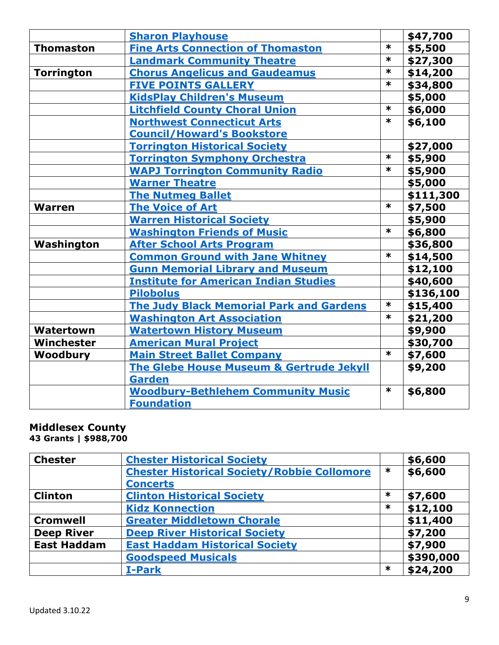|                   | <b>Sharon Playhouse</b>                             |        | \$47,700  |
|-------------------|-----------------------------------------------------|--------|-----------|
| <b>Thomaston</b>  | <b>Fine Arts Connection of Thomaston</b>            | $\ast$ | \$5,500   |
|                   | <b>Landmark Community Theatre</b>                   | $\ast$ | \$27,300  |
| <b>Torrington</b> | <b>Chorus Angelicus and Gaudeamus</b>               | $\ast$ | \$14,200  |
|                   | <b>FIVE POINTS GALLERY</b>                          | $\ast$ | \$34,800  |
|                   | <b>KidsPlay Children's Museum</b>                   |        | \$5,000   |
|                   | <b>Litchfield County Choral Union</b>               | $\ast$ | \$6,000   |
|                   | <b>Northwest Connecticut Arts</b>                   | $\ast$ | \$6,100   |
|                   | <b>Council/Howard's Bookstore</b>                   |        |           |
|                   | <b>Torrington Historical Society</b>                |        | \$27,000  |
|                   | <b>Torrington Symphony Orchestra</b>                | $\ast$ | \$5,900   |
|                   | <b>WAPJ Torrington Community Radio</b>              | $\ast$ | \$5,900   |
|                   | <b>Warner Theatre</b>                               |        | \$5,000   |
|                   | <b>The Nutmeg Ballet</b>                            |        | \$111,300 |
| <b>Warren</b>     | <b>The Voice of Art</b>                             | $\ast$ | \$7,500   |
|                   | <b>Warren Historical Society</b>                    |        | \$5,900   |
|                   | <b>Washington Friends of Music</b>                  | $\ast$ | \$6,800   |
| Washington        | <b>After School Arts Program</b>                    |        | \$36,800  |
|                   | <b>Common Ground with Jane Whitney</b>              | $\ast$ | \$14,500  |
|                   | <b>Gunn Memorial Library and Museum</b>             |        | \$12,100  |
|                   | <b>Institute for American Indian Studies</b>        |        | \$40,600  |
|                   | <b>Pilobolus</b>                                    |        | \$136,100 |
|                   | <b>The Judy Black Memorial Park and Gardens</b>     | $\ast$ | \$15,400  |
|                   | <b>Washington Art Association</b>                   | $\ast$ | \$21,200  |
| Watertown         | <b>Watertown History Museum</b>                     |        | \$9,900   |
| Winchester        | <b>American Mural Project</b>                       |        | \$30,700  |
| Woodbury          | <b>Main Street Ballet Company</b>                   | $\ast$ | \$7,600   |
|                   | <b>The Glebe House Museum &amp; Gertrude Jekyll</b> |        | \$9,200   |
|                   | <b>Garden</b>                                       |        |           |
|                   | <b>Woodbury-Bethlehem Community Music</b>           | $\ast$ | \$6,800   |
|                   | <b>Foundation</b>                                   |        |           |

# **Middlesex County**

**43 Grants | \$988,700**

| <b>Chester</b>     | <b>Chester Historical Society</b>                  |        | \$6,600   |
|--------------------|----------------------------------------------------|--------|-----------|
|                    | <b>Chester Historical Society/Robbie Collomore</b> | ∗      | \$6,600   |
|                    | <b>Concerts</b>                                    |        |           |
| <b>Clinton</b>     | <b>Clinton Historical Society</b>                  | $\ast$ | \$7,600   |
|                    | <b>Kidz Konnection</b>                             | ∗      | \$12,100  |
| <b>Cromwell</b>    | <b>Greater Middletown Chorale</b>                  |        | \$11,400  |
| <b>Deep River</b>  | <b>Deep River Historical Society</b>               |        | \$7,200   |
| <b>East Haddam</b> | <b>East Haddam Historical Society</b>              |        | \$7,900   |
|                    | <b>Goodspeed Musicals</b>                          |        | \$390,000 |
|                    | <b>I-Park</b>                                      | ∗      | \$24,200  |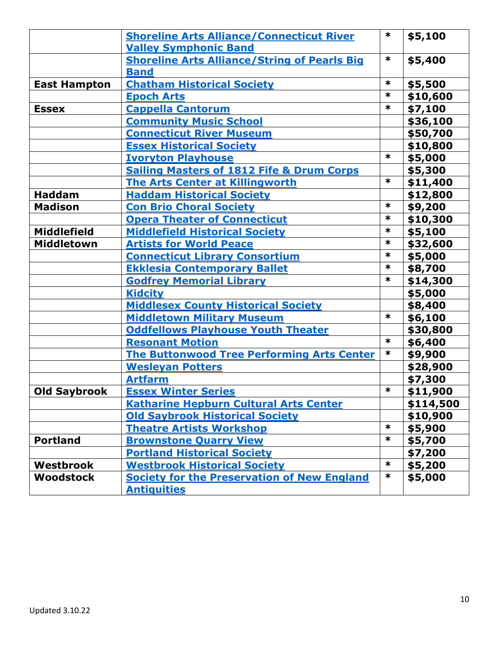|                     | <b>Shoreline Arts Alliance/Connecticut River</b>                   | $\ast$ | \$5,100   |
|---------------------|--------------------------------------------------------------------|--------|-----------|
|                     | <b>Valley Symphonic Band</b>                                       |        |           |
|                     | <b>Shoreline Arts Alliance/String of Pearls Big</b><br><b>Band</b> | $\ast$ | \$5,400   |
| <b>East Hampton</b> | <b>Chatham Historical Society</b>                                  | $\ast$ |           |
|                     |                                                                    | $\ast$ | \$5,500   |
|                     | <b>Epoch Arts</b>                                                  | $\ast$ | \$10,600  |
| <b>Essex</b>        | <b>Cappella Cantorum</b>                                           |        | \$7,100   |
|                     | <b>Community Music School</b>                                      |        | \$36,100  |
|                     | <b>Connecticut River Museum</b>                                    |        | \$50,700  |
|                     | <b>Essex Historical Society</b>                                    |        | \$10,800  |
|                     | <b>Ivoryton Playhouse</b>                                          | $\ast$ | \$5,000   |
|                     | <b>Sailing Masters of 1812 Fife &amp; Drum Corps</b>               |        | \$5,300   |
|                     | <b>The Arts Center at Killingworth</b>                             | $\ast$ | \$11,400  |
| <b>Haddam</b>       | <b>Haddam Historical Society</b>                                   |        | \$12,800  |
| <b>Madison</b>      | <b>Con Brio Choral Society</b>                                     | $\ast$ | \$9,200   |
|                     | <b>Opera Theater of Connecticut</b>                                | $\ast$ | \$10,300  |
| <b>Middlefield</b>  | <b>Middlefield Historical Society</b>                              | $\ast$ | \$5,100   |
| <b>Middletown</b>   | <b>Artists for World Peace</b>                                     | $\ast$ | \$32,600  |
|                     | <b>Connecticut Library Consortium</b>                              | $\ast$ | \$5,000   |
|                     | <b>Ekklesia Contemporary Ballet</b>                                | $\ast$ | \$8,700   |
|                     | <b>Godfrey Memorial Library</b>                                    | $\ast$ | \$14,300  |
|                     | <b>Kidcity</b>                                                     |        | \$5,000   |
|                     | <b>Middlesex County Historical Society</b>                         |        | \$8,400   |
|                     | <b>Middletown Military Museum</b>                                  | $\ast$ | \$6,100   |
|                     | <b>Oddfellows Playhouse Youth Theater</b>                          |        | \$30,800  |
|                     | <b>Resonant Motion</b>                                             | $\ast$ | \$6,400   |
|                     | <b>The Buttonwood Tree Performing Arts Center</b>                  | $\ast$ | \$9,900   |
|                     | <b>Wesleyan Potters</b>                                            |        | \$28,900  |
|                     | <b>Artfarm</b>                                                     |        | \$7,300   |
| <b>Old Saybrook</b> | <b>Essex Winter Series</b>                                         | $\ast$ | \$11,900  |
|                     | <b>Katharine Hepburn Cultural Arts Center</b>                      |        | \$114,500 |
|                     | <b>Old Saybrook Historical Society</b>                             |        | \$10,900  |
|                     | <b>Theatre Artists Workshop</b>                                    | $\ast$ | \$5,900   |
| <b>Portland</b>     | <b>Brownstone Quarry View</b>                                      | $\ast$ | \$5,700   |
|                     | <b>Portland Historical Society</b>                                 |        | \$7,200   |
| <b>Westbrook</b>    | <b>Westbrook Historical Society</b>                                | $\ast$ | \$5,200   |
| <b>Woodstock</b>    | <b>Society for the Preservation of New England</b>                 | $\ast$ | \$5,000   |
|                     | <b>Antiquities</b>                                                 |        |           |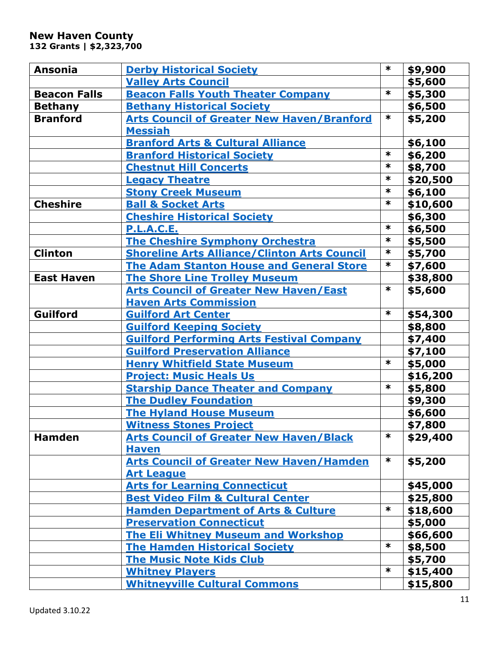| <b>Ansonia</b>      | <b>Derby Historical Society</b>                     | $\ast$ | \$9,900  |
|---------------------|-----------------------------------------------------|--------|----------|
|                     | <b>Valley Arts Council</b>                          |        | \$5,600  |
| <b>Beacon Falls</b> | <b>Beacon Falls Youth Theater Company</b>           | $\ast$ | \$5,300  |
| <b>Bethany</b>      | <b>Bethany Historical Society</b>                   |        | \$6,500  |
| <b>Branford</b>     | <b>Arts Council of Greater New Haven/Branford</b>   | $\ast$ | \$5,200  |
|                     | <b>Messiah</b>                                      |        |          |
|                     | <b>Branford Arts &amp; Cultural Alliance</b>        |        | \$6,100  |
|                     | <b>Branford Historical Society</b>                  | $\ast$ | \$6,200  |
|                     | <b>Chestnut Hill Concerts</b>                       | $\ast$ | \$8,700  |
|                     | <b>Legacy Theatre</b>                               | $\ast$ | \$20,500 |
|                     | <b>Stony Creek Museum</b>                           | $\ast$ | \$6,100  |
| <b>Cheshire</b>     | <b>Ball &amp; Socket Arts</b>                       | $\ast$ | \$10,600 |
|                     | <b>Cheshire Historical Society</b>                  |        | \$6,300  |
|                     | <b>P.L.A.C.E.</b>                                   | $\ast$ | \$6,500  |
|                     | <b>The Cheshire Symphony Orchestra</b>              | $\ast$ | \$5,500  |
| <b>Clinton</b>      | <b>Shoreline Arts Alliance/Clinton Arts Council</b> | $\ast$ | \$5,700  |
|                     | <b>The Adam Stanton House and General Store</b>     | $\ast$ | \$7,600  |
| <b>East Haven</b>   | <b>The Shore Line Trolley Museum</b>                |        | \$38,800 |
|                     | <b>Arts Council of Greater New Haven/East</b>       | $\ast$ | \$5,600  |
|                     | <b>Haven Arts Commission</b>                        |        |          |
| Guilford            | <b>Guilford Art Center</b>                          | $\ast$ | \$54,300 |
|                     | <b>Guilford Keeping Society</b>                     |        | \$8,800  |
|                     | <b>Guilford Performing Arts Festival Company</b>    |        | \$7,400  |
|                     | <b>Guilford Preservation Alliance</b>               |        | \$7,100  |
|                     | <b>Henry Whitfield State Museum</b>                 | $\ast$ | \$5,000  |
|                     | <b>Project: Music Heals Us</b>                      |        | \$16,200 |
|                     | <b>Starship Dance Theater and Company</b>           | $\ast$ | \$5,800  |
|                     | <b>The Dudley Foundation</b>                        |        | \$9,300  |
|                     | <b>The Hyland House Museum</b>                      |        | \$6,600  |
|                     | <b>Witness Stones Project</b>                       |        | \$7,800  |
| <b>Hamden</b>       | <b>Arts Council of Greater New Haven/Black</b>      | $\ast$ | \$29,400 |
|                     | <b>Haven</b>                                        |        |          |
|                     | <b>Arts Council of Greater New Haven/Hamden</b>     | $\ast$ | \$5,200  |
|                     | <b>Art League</b>                                   |        |          |
|                     | <b>Arts for Learning Connecticut</b>                |        | \$45,000 |
|                     | <b>Best Video Film &amp; Cultural Center</b>        |        | \$25,800 |
|                     | <b>Hamden Department of Arts &amp; Culture</b>      | $\ast$ | \$18,600 |
|                     | <b>Preservation Connecticut</b>                     |        | \$5,000  |
|                     | <b>The Eli Whitney Museum and Workshop</b>          |        | \$66,600 |
|                     | <b>The Hamden Historical Society</b>                | $\ast$ | \$8,500  |
|                     | <b>The Music Note Kids Club</b>                     |        | \$5,700  |
|                     | <b>Whitney Players</b>                              | $\ast$ | \$15,400 |
|                     | <b>Whitneyville Cultural Commons</b>                |        | \$15,800 |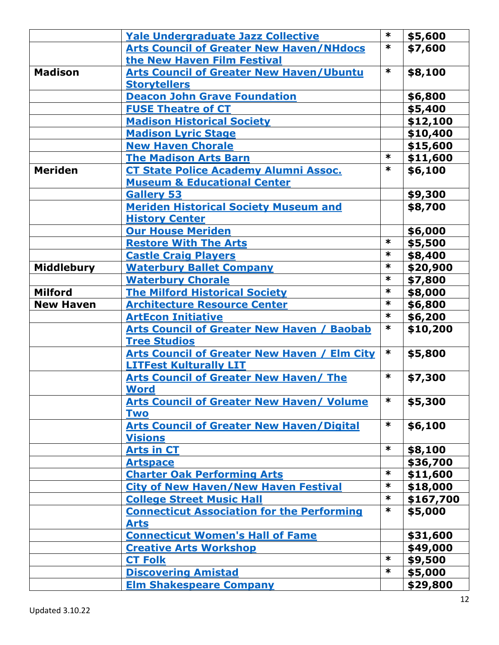|                   | Yale Undergraduate Jazz Collective                  | $\ast$ | \$5,600   |
|-------------------|-----------------------------------------------------|--------|-----------|
|                   | <b>Arts Council of Greater New Haven/NHdocs</b>     | $\ast$ | \$7,600   |
|                   | the New Haven Film Festival                         |        |           |
| <b>Madison</b>    | <b>Arts Council of Greater New Haven/Ubuntu</b>     | $\ast$ | \$8,100   |
|                   | <b>Storytellers</b>                                 |        |           |
|                   | <b>Deacon John Grave Foundation</b>                 |        | \$6,800   |
|                   | <b>FUSE Theatre of CT</b>                           |        | \$5,400   |
|                   | <b>Madison Historical Society</b>                   |        | \$12,100  |
|                   | <b>Madison Lyric Stage</b>                          |        | \$10,400  |
|                   | <b>New Haven Chorale</b>                            |        | \$15,600  |
|                   | <b>The Madison Arts Barn</b>                        | $\ast$ | \$11,600  |
| <b>Meriden</b>    | CT State Police Academy Alumni Assoc.               | $\ast$ | \$6,100   |
|                   | <b>Museum &amp; Educational Center</b>              |        |           |
|                   | <b>Gallery 53</b>                                   |        | \$9,300   |
|                   | <b>Meriden Historical Society Museum and</b>        |        | \$8,700   |
|                   | <b>History Center</b>                               |        |           |
|                   | <b>Our House Meriden</b>                            |        | \$6,000   |
|                   | <b>Restore With The Arts</b>                        | $\ast$ | \$5,500   |
|                   |                                                     | $\ast$ | \$8,400   |
|                   | <b>Castle Craig Players</b>                         | $\ast$ |           |
| <b>Middlebury</b> | <b>Waterbury Ballet Company</b>                     | $\ast$ | \$20,900  |
|                   | <b>Waterbury Chorale</b>                            |        | \$7,800   |
| <b>Milford</b>    | <b>The Milford Historical Society</b>               | $\ast$ | \$8,000   |
| <b>New Haven</b>  | <b>Architecture Resource Center</b>                 | $\ast$ | \$6,800   |
|                   | <b>ArtEcon Initiative</b>                           | $\ast$ | \$6,200   |
|                   | <b>Arts Council of Greater New Haven / Baobab</b>   | $\ast$ | \$10,200  |
|                   | <b>Tree Studios</b>                                 |        |           |
|                   | <b>Arts Council of Greater New Haven / Elm City</b> | $\ast$ | \$5,800   |
|                   | <b>LITFest Kulturally LIT</b>                       |        |           |
|                   | <b>Arts Council of Greater New Haven/ The</b>       | $\ast$ | \$7,300   |
|                   | <b>Word</b>                                         |        |           |
|                   | <b>Arts Council of Greater New Haven/ Volume</b>    | $\ast$ | \$5,300   |
|                   | <b>Two</b>                                          |        |           |
|                   | <b>Arts Council of Greater New Haven/Digital</b>    | $\ast$ | \$6,100   |
|                   | <b>Visions</b>                                      |        |           |
|                   | <b>Arts in CT</b>                                   | $\ast$ | \$8,100   |
|                   | <b>Artspace</b>                                     |        | \$36,700  |
|                   | <b>Charter Oak Performing Arts</b>                  | $\ast$ | \$11,600  |
|                   | <b>City of New Haven/New Haven Festival</b>         | $\ast$ | \$18,000  |
|                   | <b>College Street Music Hall</b>                    | $\ast$ | \$167,700 |
|                   | <b>Connecticut Association for the Performing</b>   | $\ast$ | \$5,000   |
|                   | <b>Arts</b>                                         |        |           |
|                   | <b>Connecticut Women's Hall of Fame</b>             |        | \$31,600  |
|                   | <b>Creative Arts Workshop</b>                       |        | \$49,000  |
|                   |                                                     | $\ast$ |           |
|                   | <b>CT Folk</b>                                      | $\ast$ | \$9,500   |
|                   | <b>Discovering Amistad</b>                          |        | \$5,000   |
|                   | <b>Elm Shakespeare Company</b>                      |        | \$29,800  |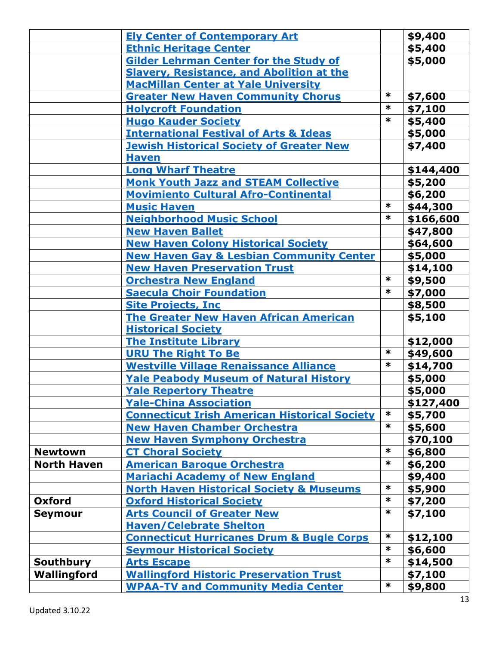|                    | <b>Ely Center of Contemporary Art</b>                |        | \$9,400   |
|--------------------|------------------------------------------------------|--------|-----------|
|                    | <b>Ethnic Heritage Center</b>                        |        | \$5,400   |
|                    | <b>Gilder Lehrman Center for the Study of</b>        |        | \$5,000   |
|                    | <b>Slavery, Resistance, and Abolition at the</b>     |        |           |
|                    | <b>MacMillan Center at Yale University</b>           |        |           |
|                    | <b>Greater New Haven Community Chorus</b>            | $\ast$ | \$7,600   |
|                    | <b>Holycroft Foundation</b>                          | $\ast$ | \$7,100   |
|                    | <b>Hugo Kauder Society</b>                           | $\ast$ | \$5,400   |
|                    | <b>International Festival of Arts &amp; Ideas</b>    |        | \$5,000   |
|                    | <b>Jewish Historical Society of Greater New</b>      |        | \$7,400   |
|                    | <b>Haven</b>                                         |        |           |
|                    | <b>Long Wharf Theatre</b>                            |        | \$144,400 |
|                    | <b>Monk Youth Jazz and STEAM Collective</b>          |        | \$5,200   |
|                    | <b>Movimiento Cultural Afro-Continental</b>          |        | \$6,200   |
|                    | <b>Music Haven</b>                                   | $\ast$ | \$44,300  |
|                    | <b>Neighborhood Music School</b>                     | $\ast$ | \$166,600 |
|                    | <b>New Haven Ballet</b>                              |        | \$47,800  |
|                    | <b>New Haven Colony Historical Society</b>           |        | \$64,600  |
|                    | <b>New Haven Gay &amp; Lesbian Community Center</b>  |        | \$5,000   |
|                    | <b>New Haven Preservation Trust</b>                  |        | \$14,100  |
|                    | <b>Orchestra New England</b>                         | $\ast$ | \$9,500   |
|                    | <b>Saecula Choir Foundation</b>                      | $\ast$ | \$7,000   |
|                    | <b>Site Projects, Inc.</b>                           |        | \$8,500   |
|                    | <b>The Greater New Haven African American</b>        |        | \$5,100   |
|                    | <b>Historical Society</b>                            |        |           |
|                    | <b>The Institute Library</b>                         |        | \$12,000  |
|                    | <b>URU The Right To Be</b>                           | $\ast$ | \$49,600  |
|                    | <b>Westville Village Renaissance Alliance</b>        | $\ast$ | \$14,700  |
|                    | <b>Yale Peabody Museum of Natural History</b>        |        | \$5,000   |
|                    | <b>Yale Repertory Theatre</b>                        |        | \$5,000   |
|                    | <b>Yale-China Association</b>                        |        | \$127,400 |
|                    | <b>Connecticut Irish American Historical Society</b> | $\ast$ | \$5,700   |
|                    | <b>New Haven Chamber Orchestra</b>                   | $\ast$ | \$5,600   |
|                    | <b>New Haven Symphony Orchestra</b>                  |        | \$70,100  |
| <b>Newtown</b>     | <b>CT Choral Society</b>                             | $\ast$ | \$6,800   |
| <b>North Haven</b> | <b>American Baroque Orchestra</b>                    | $\ast$ | \$6,200   |
|                    | <b>Mariachi Academy of New England</b>               |        | \$9,400   |
|                    | <b>North Haven Historical Society &amp; Museums</b>  | $\ast$ | \$5,900   |
| <b>Oxford</b>      | <b>Oxford Historical Society</b>                     | $\ast$ | \$7,200   |
| <b>Seymour</b>     | <b>Arts Council of Greater New</b>                   | $\ast$ | \$7,100   |
|                    | <b>Haven/Celebrate Shelton</b>                       |        |           |
|                    | <b>Connecticut Hurricanes Drum &amp; Bugle Corps</b> | $\ast$ | \$12,100  |
|                    | <b>Seymour Historical Society</b>                    | $\ast$ | \$6,600   |
| Southbury          | <b>Arts Escape</b>                                   | $\ast$ | \$14,500  |
| Wallingford        | <b>Wallingford Historic Preservation Trust</b>       |        | \$7,100   |
|                    | <b>WPAA-TV and Community Media Center</b>            | $\ast$ | \$9,800   |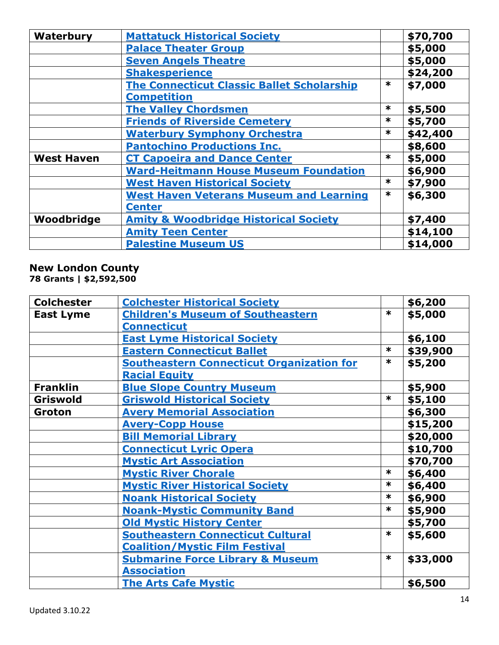| Waterbury         | <b>Mattatuck Historical Society</b>               |        | \$70,700 |
|-------------------|---------------------------------------------------|--------|----------|
|                   | <b>Palace Theater Group</b>                       |        | \$5,000  |
|                   | <b>Seven Angels Theatre</b>                       |        | \$5,000  |
|                   | <b>Shakesperience</b>                             |        | \$24,200 |
|                   | <b>The Connecticut Classic Ballet Scholarship</b> | $\ast$ | \$7,000  |
|                   | <b>Competition</b>                                |        |          |
|                   | <b>The Valley Chordsmen</b>                       | $\ast$ | \$5,500  |
|                   | <b>Friends of Riverside Cemetery</b>              | $\ast$ | \$5,700  |
|                   | <b>Waterbury Symphony Orchestra</b>               | $\ast$ | \$42,400 |
|                   | <b>Pantochino Productions Inc.</b>                |        | \$8,600  |
| <b>West Haven</b> | <b>CT Capoeira and Dance Center</b>               | $\ast$ | \$5,000  |
|                   | <b>Ward-Heitmann House Museum Foundation</b>      |        | \$6,900  |
|                   | <b>West Haven Historical Society</b>              | $\ast$ | \$7,900  |
|                   | <b>West Haven Veterans Museum and Learning</b>    | $\ast$ | \$6,300  |
|                   | <b>Center</b>                                     |        |          |
| Woodbridge        | <b>Amity &amp; Woodbridge Historical Society</b>  |        | \$7,400  |
|                   | <b>Amity Teen Center</b>                          |        | \$14,100 |
|                   | <b>Palestine Museum US</b>                        |        | \$14,000 |

## **New London County**

**78 Grants | \$2,592,500**

| <b>Colchester</b> | <b>Colchester Historical Society</b>             |        | \$6,200  |
|-------------------|--------------------------------------------------|--------|----------|
| <b>East Lyme</b>  | <b>Children's Museum of Southeastern</b>         | $\ast$ | \$5,000  |
|                   | <b>Connecticut</b>                               |        |          |
|                   | <b>East Lyme Historical Society</b>              |        | \$6,100  |
|                   | <b>Eastern Connecticut Ballet</b>                | $\ast$ | \$39,900 |
|                   | <b>Southeastern Connecticut Organization for</b> | $\ast$ | \$5,200  |
|                   | <b>Racial Equity</b>                             |        |          |
| <b>Franklin</b>   | <b>Blue Slope Country Museum</b>                 |        | \$5,900  |
| Griswold          | <b>Griswold Historical Society</b>               | $\ast$ | \$5,100  |
| Groton            | <b>Avery Memorial Association</b>                |        | \$6,300  |
|                   | <b>Avery-Copp House</b>                          |        | \$15,200 |
|                   | <b>Bill Memorial Library</b>                     |        | \$20,000 |
|                   | <b>Connecticut Lyric Opera</b>                   |        | \$10,700 |
|                   | <b>Mystic Art Association</b>                    |        | \$70,700 |
|                   | <b>Mystic River Chorale</b>                      | $\ast$ | \$6,400  |
|                   | <b>Mystic River Historical Society</b>           | $\ast$ | \$6,400  |
|                   | <b>Noank Historical Society</b>                  | $\ast$ | \$6,900  |
|                   | <b>Noank-Mystic Community Band</b>               | $\ast$ | \$5,900  |
|                   | <b>Old Mystic History Center</b>                 |        | \$5,700  |
|                   | <b>Southeastern Connecticut Cultural</b>         | $\ast$ | \$5,600  |
|                   | <b>Coalition/Mystic Film Festival</b>            |        |          |
|                   | <b>Submarine Force Library &amp; Museum</b>      | $\ast$ | \$33,000 |
|                   | <b>Association</b>                               |        |          |
|                   | <b>The Arts Cafe Mystic</b>                      |        | \$6,500  |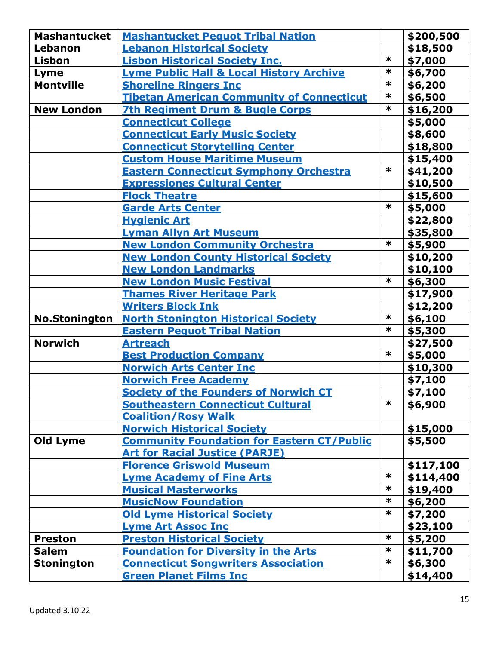| <b>Mashantucket</b>  | <b>Mashantucket Pequot Tribal Nation</b>                       |        | \$200,500             |
|----------------------|----------------------------------------------------------------|--------|-----------------------|
| Lebanon              | <b>Lebanon Historical Society</b>                              |        | \$18,500              |
| <b>Lisbon</b>        | <b>Lisbon Historical Society Inc.</b>                          | $\ast$ | \$7,000               |
| Lyme                 | <b>Lyme Public Hall &amp; Local History Archive</b>            | $\ast$ | \$6,700               |
| <b>Montville</b>     | <b>Shoreline Ringers Inc</b>                                   | $\ast$ | \$6,200               |
|                      | <b>Tibetan American Community of Connecticut</b>               | $\ast$ | \$6,500               |
| <b>New London</b>    | <b>7th Regiment Drum &amp; Bugle Corps</b>                     | $\ast$ | \$16,200              |
|                      | <b>Connecticut College</b>                                     |        | \$5,000               |
|                      | <b>Connecticut Early Music Society</b>                         |        | \$8,600               |
|                      | <b>Connecticut Storytelling Center</b>                         |        | \$18,800              |
|                      | <b>Custom House Maritime Museum</b>                            |        | \$15,400              |
|                      | <b>Eastern Connecticut Symphony Orchestra</b>                  | $\ast$ | \$41,200              |
|                      | <b>Expressiones Cultural Center</b>                            |        | \$10,500              |
|                      | <b>Flock Theatre</b>                                           |        | \$15,600              |
|                      | <b>Garde Arts Center</b>                                       | $\ast$ | \$5,000               |
|                      | <b>Hygienic Art</b>                                            |        | \$22,800              |
|                      | <b>Lyman Allyn Art Museum</b>                                  |        | \$35,800              |
|                      | <b>New London Community Orchestra</b>                          | $\ast$ | \$5,900               |
|                      | <b>New London County Historical Society</b>                    |        | \$10,200              |
|                      | <b>New London Landmarks</b>                                    |        | \$10,100              |
|                      | <b>New London Music Festival</b>                               | $\ast$ | \$6,300               |
|                      | <b>Thames River Heritage Park</b>                              |        | \$17,900              |
|                      | <b>Writers Block Ink</b>                                       |        | \$12,200              |
| <b>No.Stonington</b> | <b>North Stonington Historical Society</b>                     | $\ast$ | \$6,100               |
|                      | <b>Eastern Pequot Tribal Nation</b>                            | $\ast$ | \$5,300               |
| <b>Norwich</b>       | <b>Artreach</b>                                                |        | \$27,500              |
|                      | <b>Best Production Company</b>                                 | $\ast$ | \$5,000               |
|                      | <b>Norwich Arts Center Inc</b>                                 |        | \$10,300              |
|                      | <b>Norwich Free Academy</b>                                    |        | \$7,100               |
|                      | <b>Society of the Founders of Norwich CT</b>                   |        | \$7,100               |
|                      | <b>Southeastern Connecticut Cultural</b>                       | $\ast$ | \$6,900               |
|                      | <b>Coalition/Rosy Walk</b>                                     |        |                       |
|                      | <b>Norwich Historical Society</b>                              |        | \$15,000              |
| Old Lyme             | <b>Community Foundation for Eastern CT/Public</b>              |        | \$5,500               |
|                      | <b>Art for Racial Justice (PARJE)</b>                          |        |                       |
|                      | <b>Florence Griswold Museum</b>                                | $\ast$ | \$117,100             |
|                      | <b>Lyme Academy of Fine Arts</b><br><b>Musical Masterworks</b> | $\ast$ | \$114,400<br>\$19,400 |
|                      | <b>MusicNow Foundation</b>                                     | $\ast$ |                       |
|                      | <b>Old Lyme Historical Society</b>                             | $\ast$ | \$6,200<br>\$7,200    |
|                      | <b>Lyme Art Assoc Inc</b>                                      |        | \$23,100              |
| <b>Preston</b>       | <b>Preston Historical Society</b>                              | $\ast$ | \$5,200               |
| <b>Salem</b>         | <b>Foundation for Diversity in the Arts</b>                    | $\ast$ | \$11,700              |
| <b>Stonington</b>    | <b>Connecticut Songwriters Association</b>                     | $\ast$ | \$6,300               |
|                      | <b>Green Planet Films Inc</b>                                  |        | \$14,400              |
|                      |                                                                |        |                       |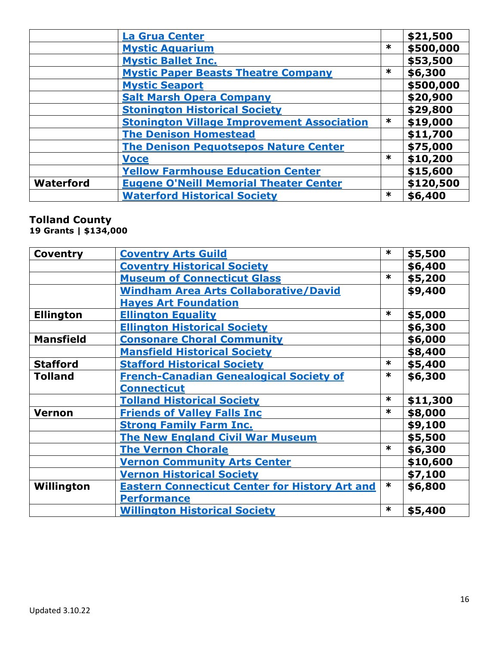|                  | <b>La Grua Center</b>                             |        | \$21,500  |
|------------------|---------------------------------------------------|--------|-----------|
|                  | <b>Mystic Aquarium</b>                            | $\ast$ | \$500,000 |
|                  | <b>Mystic Ballet Inc.</b>                         |        | \$53,500  |
|                  | <b>Mystic Paper Beasts Theatre Company</b>        | $\ast$ | \$6,300   |
|                  | <b>Mystic Seaport</b>                             |        | \$500,000 |
|                  | <b>Salt Marsh Opera Company</b>                   |        | \$20,900  |
|                  | <b>Stonington Historical Society</b>              |        | \$29,800  |
|                  | <b>Stonington Village Improvement Association</b> | $\ast$ | \$19,000  |
|                  | <b>The Denison Homestead</b>                      |        | \$11,700  |
|                  | <b>The Denison Pequotsepos Nature Center</b>      |        | \$75,000  |
|                  | <b>Voce</b>                                       | $\ast$ | \$10,200  |
|                  | <b>Yellow Farmhouse Education Center</b>          |        | \$15,600  |
| <b>Waterford</b> | <b>Eugene O'Neill Memorial Theater Center</b>     |        | \$120,500 |
|                  | <b>Waterford Historical Society</b>               | $\ast$ | \$6,400   |

### **Tolland County**

**19 Grants | \$134,000**

| <b>Coventry</b>  | <b>Coventry Arts Guild</b>                            | $\ast$ | \$5,500  |
|------------------|-------------------------------------------------------|--------|----------|
|                  | <b>Coventry Historical Society</b>                    |        | \$6,400  |
|                  | <b>Museum of Connecticut Glass</b>                    | $\ast$ | \$5,200  |
|                  | <b>Windham Area Arts Collaborative/David</b>          |        | \$9,400  |
|                  | <b>Haves Art Foundation</b>                           |        |          |
| <b>Ellington</b> | <b>Ellington Equality</b>                             | $\ast$ | \$5,000  |
|                  | <b>Ellington Historical Society</b>                   |        | \$6,300  |
| <b>Mansfield</b> | <b>Consonare Choral Community</b>                     |        | \$6,000  |
|                  | <b>Mansfield Historical Society</b>                   |        | \$8,400  |
| <b>Stafford</b>  | <b>Stafford Historical Society</b>                    | $\ast$ | \$5,400  |
| <b>Tolland</b>   | <b>French-Canadian Genealogical Society of</b>        | $\ast$ | \$6,300  |
|                  | <b>Connecticut</b>                                    |        |          |
|                  | <b>Tolland Historical Society</b>                     | $\ast$ | \$11,300 |
| <b>Vernon</b>    | <b>Friends of Valley Falls Inc</b>                    | $\ast$ | \$8,000  |
|                  | <b>Strong Family Farm Inc.</b>                        |        | \$9,100  |
|                  | <b>The New England Civil War Museum</b>               |        | \$5,500  |
|                  | <b>The Vernon Chorale</b>                             | $\ast$ | \$6,300  |
|                  | <b>Vernon Community Arts Center</b>                   |        | \$10,600 |
|                  | <b>Vernon Historical Society</b>                      |        | \$7,100  |
| Willington       | <b>Eastern Connecticut Center for History Art and</b> | $\ast$ | \$6,800  |
|                  | <b>Performance</b>                                    |        |          |
|                  | <b>Willington Historical Society</b>                  | $\ast$ | \$5,400  |